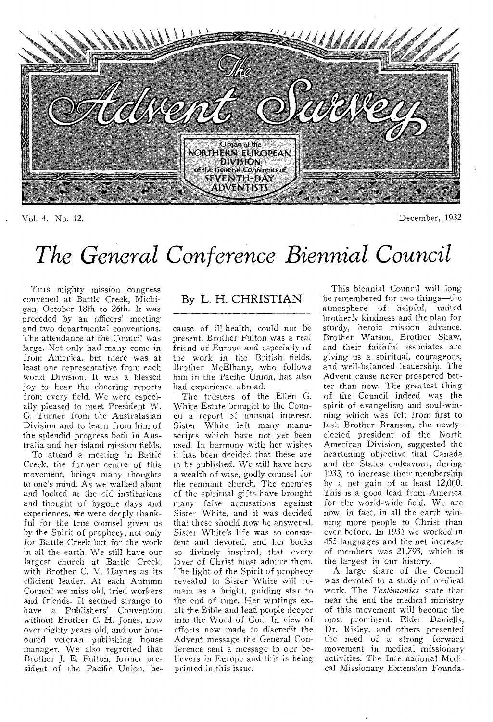

Vol. 4. No. 12. December, 1932

## *The General Conference Biennial Council*

THIS mighty mission congress convened at Battle Creek, Michigan, October 18th to 26th. It was preceded by an officers' meeting and two departmental conventions. The attendance at the Council was large. Not only had many come in from America, but there was at least one representative from each world Division. It was a blessed joy to hear the cheering reports from every field. We were especially pleased to meet President W. G. Turner from the Australasian Division and to learn from him of the splendid progress both in Australia and her island mission fields.

To attend a meeting in Battle Creek, the former centre of this movement, brings many thoughts to one's mind. As we walked about and looked at the old institutions and thought of bygone days and experiences, we were deeply thankful for the true counsel given us by the Spirit of prophecy, not only for Battle Creek but for the work in all the earth. We still have our largest church at Battle Creek, with Brother C. V. Haynes as its efficient leader. At each Autumn Council we miss old, tried workers and friends. It seemed strange to have a Publishers' Convention without Brother C. H. Jones, now over eighty years old, and our honoured veteran publishing house manager. We also regretted that Brother J. E. Fulton, former president of the Pacific Union, be-

### By L. H. CHRISTIAN

cause of ill-health, could not be present. Brother Fulton was a real friend of Europe and especially of the work in the British fields. Brother McElhany, who follows him in the Pacific Union, has also had experience abroad.

The trustees of the Ellen G. White Estate brought to the Council a report of unusual interest. Sister White left many manuscripts which have not yet been used. In harmony with her wishes it has been decided that these are to be published. We still have here a wealth of wise, godly counsel for the remnant church. The enemies of the spiritual gifts have brought many false accusations against Sister White, and it was decided that these should now be answered. Sister White's life was so consistent and devoted, and her books so divinely inspired, that every lover of Christ must admire them. The light of the Spirit of prophecy revealed to Sister White will remain as a bright, guiding star to the end of time. Her writings exalt the Bible and lead people deeper into the Word of God. In view of efforts now made to discredit the Advent message the General Conference sent a message to our believers in Europe and this is being printed in this issue.

This biennial Council will long be remembered for two things—the atmosphere of helpful, united brotherly kindness and the plan for sturdy, heroic mission advance. Brother Watson, Brother Shaw, and their faithful associates are giving us a spiritual, courageous, and well-balanced leadership. The Advent cause never prospered better than now. The greatest thing of the Council indeed was the spirit of evangelism and soul-winning which was felt from first to last. Brother Branson, the newlyelected president of the North American Division, suggested the heartening objective that Canada and the States endeavour, during 1933, to increase their membership by a net gain of at least 12,000. This is a good lead from America for the world-wide field. We are now, in fact, in all the earth winning more people to Christ than ever before. In 1931 we worked in 455 languages and the net increase of members was 21,793, which is the largest in our history.

A large share of the Council was devoted to a study of medical work. The *Tesbinionies* state that near the end the medical ministry of this movement will become the most prominent. Elder Daniells, Dr. Risley, and others presented the need of a strong forward movement in medical missionary activities. The International Medical Missionary Extension Founda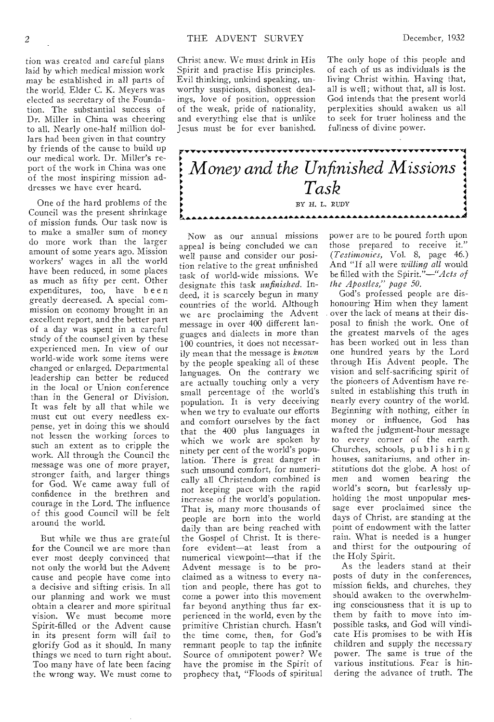tion was created and careful plans laid by which medical mission work may be established in all parts of the world. Elder C. K. Meyers was elected as secretary of the Foundation. The substantial success of Dr. Miller in China was cheering to all. Nearly one-half million dollars had been given in that country by friends of the cause to build up our medical work. Dr. Miller's report of the work in China was one of the most inspiring mission addresses we have ever heard.

One of the hard problems of the Council was the present shrinkage of mission funds. Our task now is to make a smaller sum of money do more work than the larger amount of some years ago. Mission workers' wages in all the world have been reduced, in some places as much as fifty per cent. Other expenditures, too, have been greatly decreased. A special commission on economy brought in an excellent report, and the better part of a day was spent in a careful study of the counsel given by these experienced men. In view of our world-wide work some items were changed or enlarged. Departmental leadership can better be reduced in the local or Union conference than in the General or Division. It was felt by all that while we must cut out every needless expense, yet in doing this we should not lessen the working forces to such an extent as to cripple the work. All through the Council the message was one of more prayer, stronger faith, and larger things for God. We came away full of confidence in the brethren and courage in the Lord. The influence of this good Council will be felt around the world.

But while we thus are grateful for the Council we are more than ever most deeply convinced that not only the world but the Advent cause and people have come into a decisive and sifting crisis. In all our planning and work we must obtain a clearer and more spiritual vision. We must become more Spirit-filled or the Advent cause in its present form will fail to glorify God as it should. In many things we need to turn right about. Too many have of late been facing the wrong way. We must come to

Christ anew. We must drink in His Spirit and practise His principles. Evil thinking, unkind speaking, unworthy suspicions, dishonest dealings, love of position, oppression of the weak, pride of nationality, and everything else that is unlike Jesus must be for ever banished.

The only hope of this people and of each of us as individuals is the living Christ within. Having that, all is well; without that, all is lost. God intends that the present world perplexities should awaken us all to seek for truer holiness and the fullness of divine power.

#### ti **4**  *Missions* **<sup>1</sup>** *Money and the Unfinished*  **4**  *Task*  **4**  ► ► BY H. L. RUDY **4**  ► ► \*\*\*\*\*\*\*\*\*\*\*\*\*\*\*\*\*\*\*\*\*\*\*\*\*\*\*\*

Now as our annual missions appeal is being concluded we can well pause and consider our position relative to the great unfinished task of world-wide missions. We designate this task *unfinished.* Indeed, it is scarcely begun in many countries of the world. Although we are proclaiming the Advent message in over 400 different languages and dialects in more than 100 countries, it does not necessarily mean that the message is *known*  by the people speaking all of these languages. On the contrary we are actually touching only a very small percentage of the world's population. It is very deceiving when we try to evaluate our efforts and comfort ourselves by the fact that the 400 plus languages in which we work are spoken by ninety per cent of the world's population. There is great danger in such unsound comfort, for numerically all Christendom combined is not keeping pace with the rapid increase of the world's population. That is, many more thousands of people are born into the world daily than are being reached with the Gospel of Christ. It is therefore evident—at least from a numerical viewpoint—that if the Advent message is to be proclaimed as a witness to every nation and people, there has got to come a power into this movement far beyond anything thus far experienced in the world, even by the primitive Christian church. Hasn't the time come, then, for God's remnant people to tap the infinite Source of omnipotent power? We have the promise in the Spirit of prophecy that, "Floods of spiritual power are to be poured forth upon those prepared to receive it." *(Testimonies,* Vol. 8, page 46.) And "If all were *willing all* would be filled with the Spirit."—"Acts *of the Apostles," page 50.* 

God's professed people are dishonouring Him when they lament over the lack of means at their disposal to finish the work. One of the greatest marvels of the ages has been worked out in less than one hundred years by the Lord through His Advent people. The vision and self-sacrificing spirit of the pioneers of Adventism have resulted in establishing this truth in nearly every country of the world. Beginning with nothing, either in money or influence, God has wafted the judgment-hour message to every corner of the earth. Churches, schools, publishing houses, sanitariums, and other institutions dot the globe. A host of men and women bearing the world's scorn, but fearlessly upholding the most unpopular message ever proclaimed since the days of Christ, are standing at the point of endowment with the latter rain. What is needed is a hunger and thirst for the outpouring of the Holy Spirit.

As the leaders stand at their posts of duty in the conferences, mission fields, and churches, they should awaken to the overwhelming consciousness that it is up to them by faith to move into impossible tasks, and God will vindicate His promises to be with His children and supply the necessary power. The same is true of the various institutions. Fear is hindering the advance of truth. The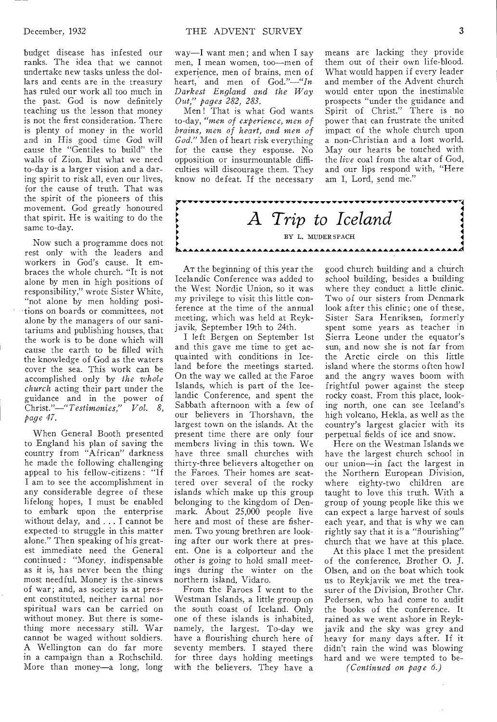budget disease has infested our ranks. The idea that we cannot undertake new tasks unless the dollars and cents are in the treasury has ruled our work all too much in the past. God is now definitely teaching us the lesson that money is not the first consideration. There is plenty of money in the world and in His good time God will cause the "Gentiles to build" the walls of Zion. But what we need to-day is a larger vision and a daring spirit to risk all, even our lives, for the cause of truth. That was the spirit of the pioneers of this movement. God greatly honoured that spirit. He is waiting to do the same to-day.

Now such a programme does not rest only with the leaders and workers in God's cause. It embraces the whole church. "It is not alone by men in high positions of responsibility," wrote Sister White, "not alone by men holding positions on boards or committees, not alone by the managers of our sanitariums and publishing houses, that the work is to be done which will cause the earth to be filled with the knowledge of God as the waters cover the sea. This work can be accomplished only by *the whole church* acting their part under the guidance and in the power of *Christ."—"Testimonies," Vol. 8, page* 47.

When General Booth presented to England his plan of saving the country from "African" darkness he made the following challenging appeal to his fellow-citizens : "If I am to see the accomplishment in any considerable degree of these lifelong hopes, I must be enabled to embark upon the enterprise without delay, and ... I cannot be expected to struggle in this matter alone." Then speaking of his greatest immediate need the General continued : "Money, indispensable as it is, has never been the thing most needful. Money is the sinews of war; and, as society is at present constituted, neither carnal nor spiritual wars can be carried on without money. But there is something more necessary still. War cannot be waged without soldiers. A Wellington can do far more in a campaign than a Rothschild. More than money—a long, long

way—I want men; and when I say men, I mean women, too—men of experience, men of brains, men of heart, and men of God."-"In *Darkest England and the Way Out," pages 282, 283.* 

Men! That is what God wants to-day, *"men of experience, men of brains, men of heart, and men of God."* Men of heart risk everything for the cause they espouse. No opposition or insurmountable difficulties will discourage them. They know no defeat. If the necessary means are lacking they provide them out of their own life-blood. What would happen if every leader and member of the Advent church would enter upon the inestimable prospects "under the guidance and Spirit of Christ." There is no power that can frustrate the united impact of the whole church upon a non-Christian and a lost world. May our hearts be touched with the *live* coal from the altar of God, and our lips respond with, "Here am I, Lord, send me.'

#### *A Trip to Iceland*  **4 4 4 4**  ► BY L. MUDER SPACH ► \*\*\*\*\*\*\*\*\*\*\*\*\*\*\*\*\*\*\*\*\*\*\*\*\*\*\*\*\*\*

AT the beginning of this year the Icelandic Conference was added to the West Nordic Union, so it was my privilege to visit this little conference at the time of the annual meeting, which was held at Reykjavik, September 19th to 24th.

I left Bergen on September 1st and this gave me time to get acquainted with conditions in Iceland before the meetings started. On the way we called at the Faroe Islands, which is part of the Icelandic Conference, and spent the Sabbath afternoon with a few of our believers in Thorshavn, the largest town on the islands. At the present time there are only four members living in this town. We have three small churches with thirty-three believers altogether on the Faroes. Their homes are scattered over several of the rocky islands which make up this group belonging to the kingdom of Denmark. About 25,000 people live here and most of these are fishermen. Two young brethren are looking after our work there at present. One is a colporteur and the other *is going* to hold small meetings during the winter on the northern island, Vidaro.

From the Faroes I went to the Westman Islands, a little group on the south coast of Iceland. Only one of these islands is inhabited, namely, the largest. To-day we have a flourishing church here of seventy members. I stayed there for three days holding meetings with the believers. They have a good church building and a church school building, besides a building where they conduct a little clinic. Two of our sisters from Denmark look after this clinic; one of these, Sister Sara Henriksen, formerly spent some years as teacher in Sierra Leone under the equator's sun, and now she is not far from the Arctic circle on this little island where the storms often howl and the angry waves boom with frightful power against the steep rocky coast. From this place, looking north, one can see Iceland's high volcano, Hekla, as well as the country's largest glacier with its perpetual fields of ice and snow.

Here on the Westman Islands we have the largest church school in our union—in fact the largest in the Northern European Division, where eighty-two children are taught to love this truth. With a group of young people like this we can expect a large harvest of souls each year, and that is why we can rightly say that it is a "flourishing" church that we have at this place.

At this place I met the president of the conference, Brother 0. J. Olsen, and on the boat which took us to Reykjavik we met the treasurer of the Division, Brother Chr. Pedersen, who had come to audit the books of the conference. It rained as we went ashore in Reykjavik and the sky was grey and heavy for many days after. If it didn't rain the wind was blowing hard and we were tempted to be-

*(Continued on page 6.)*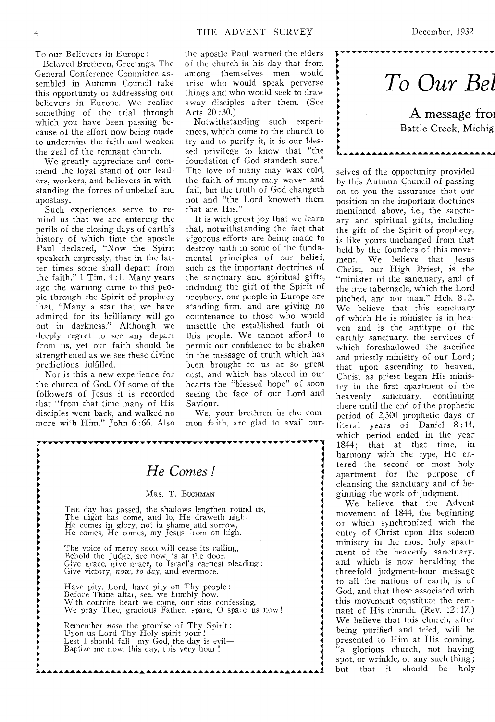To our Believers in Europe :

Beloved Brethren, Greetings. The General Conference Committee assembled in Autumn Council take this opportunity of addresssing our believers in Europe. We realize something of the trial through which you have been passing because of the effort now being made to undermine the faith and weaken the zeal of the remnant church.

We greatly appreciate and commend the loyal stand of our leaders, workers, and believers in withstanding the forces of unbelief and apostasy.

Such experiences serve to remind us that we are entering the perils of the closing days of earth's history of which time the apostle Paul declared, "Now the Spirit speaketh expressly, that in the latter times some shall depart from the faith." 1 Tim. 4 : 1. Many years ago the warning came to this people through the Spirit of prophecy that, "Many a star that we have admired for its brilliancy will go out in darkness." Although we deeply regret to see any depart from us, yet our faith should be strengthened as we see these divine predictions fulfilled.

Nor is this a new experience for the church of God. Of some of the followers of Jesus it is recorded that "from that time many of His disciples went back, and walked no more with Him." John 6:66. Also the apostle Paul warned the elders of the church in his day that from among themselves men would arise who would speak perverse things and who would seek to draw away disciples after them. (See Acts 20 :30.)

**0** 

Notwithstanding such experiences, which come to the church to try and to purify it, it is our blessed privilege to know that "the foundation of God standeth sure." The love of many may wax cold, the faith of many may waver and fail, but the truth of God changeth not and "the Lord knoweth them that are His."

It is with great joy that we learn that, notwithstanding the fact that vigorous efforts are being made to destroy faith in some of the fundamental principles of our belief, such as the important doctrines of the sanctuary and spiritual gifts, including the gift of the Spirit of prophecy, our people in Europe are standing firm, and are giving no countenance to those who would unsettle the established faith of this people. We cannot afford to permit our confidence to be shaken in the message of truth which has been brought to us at so great cost, and which has placed in our hearts the "blessed hope" of soon seeing the face of our Lord and Saviour.

We, your brethren in the common faith, are glad to avail our-



# *To Our Bei*

\*\*\*\*\*\*\*\*\*\*\*\*\*\*\*\*\*\*\*\*

A message fro: Battle Creek, Michig.

selves of the opportunity provided by this Autumn Council of passing on to you the assurance that our position on the important doctrines mentioned above, i.e., the sanctuary and spiritual gifts, including the gift of the Spirit of prophecy, is like yours unchanged from that held by the founders of this movement. We believe that Jesus Christ, our High Priest, is the "minister of the sanctuary, and of the true tabernacle, which the Lord pitched, and not man." Heb. 8:2. We believe that this sanctuary of which He is minister is in heaven and is the antitype of the earthly sanctuary, the services of which foreshadowed the sacrifice and priestly ministry of our Lord; that upon ascending to heaven, Christ as priest began His ministry in the first apartment of the heavenly sanctuary, continuing there until the end of the prophetic period of 2,300 prophetic days or literal years of Daniel 8:14, which period ended in the year 1844; that at that time, in harmony with the type, He entered the second or most holy apartment for the purpose of cleansing the sanctuary and of beginning the work of judgment.

We believe that the Advent movement of 1844, the beginning of which synchronized with the entry of Christ upon His solemn ministry in the most holy apartment of the heavenly sanctuary, and which is now heralding the threefold judgment-hour message to all the nations of earth, is of God, and that those associated with this movement constitute the remnant of His church. (Rev. 12 :17.) We believe that this church, after being purified and tried, will be presented to Him at His coming, "a glorious church, not having spot, or wrinkle, or any such thing; but that it should be holy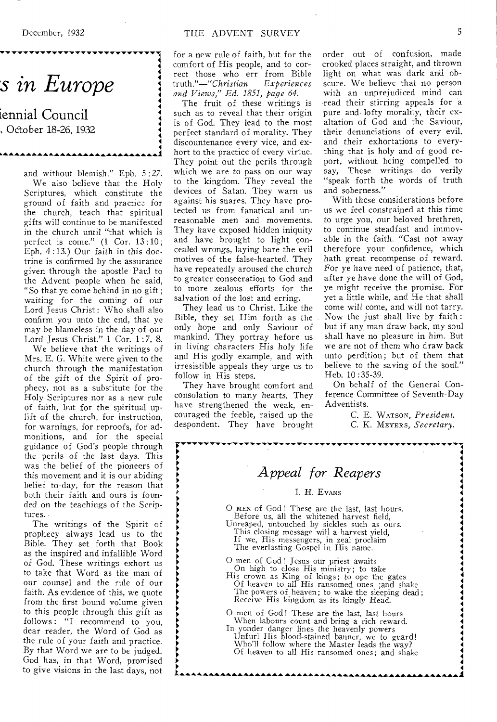# *s in Europe*

iennial Council , October 18-26, 1932

\_\_\_\_\_\_\_\_\_\_\_\_\_\_\_\_\_\_\_\_\_

and without blemish." Eph.  $5:27$ . We also believe that the Holy Scriptures, which constitute the ground of faith and practice for the church, teach that spiritual gifts will continue to be manifested in the church until "that which is perfect is come." (1 Cor. 13:10; Eph. 4 :13.) Our faith in this doctrine is confirmed by the assurance given through the apostle Paul to the Advent people when he said, "So that ye come behind in no gift ; waiting for the coming of our Lord Jesus Christ : Who shall also confirm you unto the end, that ye may be blameless in the day of our Lord Jesus Christ." 1 Cor. 1 :7, 8.

We believe that the writings of Mrs. E. G. White were given to the church through the manifestation of the gift of the Spirit of prophecy, not as a substitute for the Holy Scriptures nor as a new rule of faith, but for the spiritual uplift of the church, for instruction, for warnings, for reproofs, for admonitions, and for the special guidance of God's people through the perils of the last days. This was the belief of the pioneers of this movement and it is our abiding belief to-day, for the reason that both their faith and ours is founded on the teachings of the Scriptures.

The writings of the Spirit of prophecy always lead us to the Bible. They set forth that Book as the inspired and infallible Word of God. These writings exhort us to take that Word as the man of our counsel and the rule of our faith. As evidence of this, we quote from the first bound volume given to this people through this gift as follows: "I recommend to you, dear reader, the Word of God as the rule of your faith and practice. By that Word we are to be judged. God has, in that Word, promised to give visions in the last days, not

j<br>L

for a new rule of faith, but for the comfort of His people, and to correct those who err from Bible<br>truth."-"Christian Experiences truth."-"Christian *and Views," Ed. 1851, page 64.* 

The fruit of these writings is such as to reveal that their origin is of God. They lead to the most perfect standard of morality. They discountenance every vice, and exhort to the practice of every virtue. They point out the perils through which we are to pass on our way to the kingdom. They reveal the devices of Satan. They warn us against his snares. They have protected us from fanatical and unreasonable men and movements. They have exposed hidden iniquity and have brought to light concealed wrongs, laying bare the evil motives of the false-hearted. They have repeatedly aroused the church to greater consecration to God and to more zealous efforts for the salvation of the lost and erring.

They lead us to Christ. Like the Bible, they set Him forth as the only hope and only Saviour of mankind. They portray before us in *living* characters His holy life and His godly example, and with irresistible appeals they urge us to follow in His steps.

They have brought comfort and consolation to many hearts, They have strengthened the weak, encouraged the feeble, raised up the despondent. They have brought

order out of confusion, made crooked places straight, and thrown light on what was dark and obscure. We believe that no person with an unprejudiced mind can -read their stirring appeals for a pure and lofty morality, their exaltation of God and the Saviour, their denunciations of every evil, and their exhortations to everything that is holy and of good report, without being compelled to say, These writings do verily "speak forth the words of truth and soberness."

With these considerations before us we feel constrained at this time to urge you, our beloved brethren, to continue steadfast and immovable in the faith. "Cast not away therefore your confidence, which bath great recompense of reward. For ye have need of patience, that, after ye have done the will of God, ye might receive the promise. For yet a little while, and He that shall come will come, and will not tarry. Now the just shall live by faith : but if any man draw back, my soul shall have no pleasure in him. But we are not of them who draw back unto perdition; but of them that believe to the saving of the soul." Heb. 10 :35-39.

On behalf of the General Conference Committee of Seventh-Day Adventists.

> C. E. WATSON, *President.*  C. K. MEYERS, *Secretary.*

### *Appeal for Reapers*  I, H. EVANS O MEN of God! These are the last, last hours. Before us, all the whitened harvest field, Unreaped, untouched by sickles such as ours. This closing message will a harvest yield, If we, His messengers, in zeal proclaim The everlasting Gospel in His name. O men of God! Jesus our priest awaits On high to close His ministry; to take His crown as King of kings; to ope the gates Of heaven to all His ransomed ones ;and shake The powers of heaven; to wake the sleeping dead;

Receive His kingdom as its kingly Head.

O men of God! These are the last, last hours When labours count and bring a rich reward. In yonder danger lines the heavenly powers Unfurl His blood-stained banner, we to guard! Who'll follow where the Master leads the way? Of heaven to all His ransomed ones; and shake

\*\*\*\*\*\*\*\*\*\*\*\**\*\*\*\*\*\*\*\*\*\*\*\*\*\*\*\*\*\*\*\*\*\**\*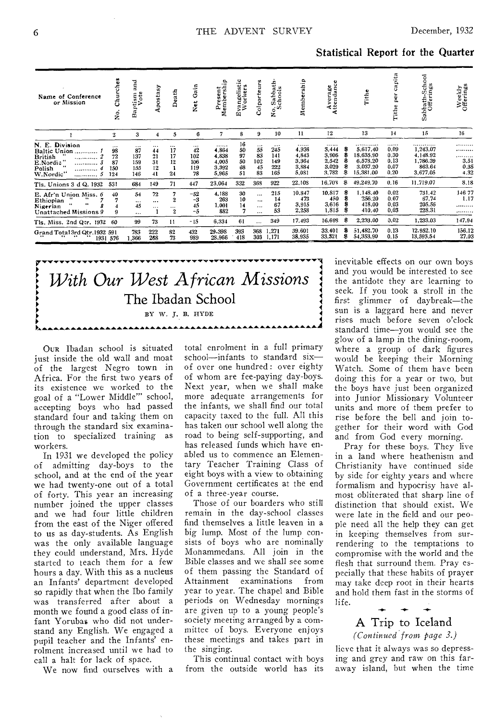| Name of Conference<br>or Mission                                                                    | urches<br>ā<br>ż                         | and<br>5 če<br>ž۶<br>$B_{\rm H}$           | postasy<br>⋖                   | Death                            | Gain<br>٣<br>z                            | ۰<br>$\overline{\phantom{a}}$<br>E.<br>Preser<br>Members | ÷<br>c,<br>geli<br>range<br>Nori<br>α | olporti<br>O                                 | 5<br>Sabbat<br>chools<br>ن.<br>o<br>z       | Membership                                    | Average<br>Attendance<br>÷.                   |                  | Tithe                                                          | capita<br>Ë<br>Tithe                     | Sabbath-School<br>Offerings                                 | Weekly<br>Offerings                 |
|-----------------------------------------------------------------------------------------------------|------------------------------------------|--------------------------------------------|--------------------------------|----------------------------------|-------------------------------------------|----------------------------------------------------------|---------------------------------------|----------------------------------------------|---------------------------------------------|-----------------------------------------------|-----------------------------------------------|------------------|----------------------------------------------------------------|------------------------------------------|-------------------------------------------------------------|-------------------------------------|
|                                                                                                     | $\mathbf{2}$                             | 3                                          | 4                              | 5                                | 6                                         | 7                                                        | 8                                     | 9                                            | 10                                          | 11                                            | 12                                            |                  | 13                                                             | 14                                       | 15                                                          | 16                                  |
| N. E. Division<br>Baltic Union<br>.<br><b>British</b><br><br>E.Nordic<br><br><br>W.Nordic"<br>5<br> | $\cdots$<br>98<br>72<br>87<br>150<br>124 | $\cdots$<br>87<br>137<br>159<br>155<br>146 | <br>44<br>21<br>31<br>12<br>41 | $\cdots$<br>17<br>17<br>12<br>24 | $\cdots$<br>42<br>102<br>106<br>119<br>78 | <br>4.864<br>4,838<br>4,005<br>3,392<br>5,965            | 16<br>50<br>97<br>50<br>68<br>51      | $\cdots$<br>55<br>83<br>102<br>45<br>83      | $\cdots$<br>245<br>141<br>149<br>222<br>165 | <br>4.936<br>4.843<br>3,364<br>3,884<br>5,081 | <br>3,444<br>3.906<br>2,542<br>3.029<br>3,782 | s<br>s<br>8<br>S | <br>5.617.40<br>18,635.90<br>6,578.20<br>3.037.20<br>15,381.00 | <br>0.09<br>0.30<br>0.13<br>0.07<br>0.20 | .<br>1,243.07<br>4,148.92<br>1,786.39<br>863.64<br>3,677.05 | .<br>.<br>.<br>3.51<br>0.35<br>4.32 |
| Tls. Unions 3 d Q. 1932                                                                             | 531                                      | 684                                        | 149                            | 71                               | 447                                       | 23,064                                                   | 332                                   | 368                                          | 922                                         | 22.108                                        | 16,703                                        | S                | 49,249.70                                                      | 0.16                                     | 11,719.07                                                   | 8.18                                |
| E. Afr'n Union Miss. 6<br>Ethiopian<br>66<br>Nigerian<br>Unattached Missions 9                      | 40<br>9                                  | 54<br>$\cdots$<br>45<br>                   | 72<br>$\cdots$<br>$\cdots$     | 7<br>$\overline{2}$<br><br>2     | $-52$<br>-3<br>45<br>$-5$                 | 4,188<br>263<br>1.001<br>882                             | 30<br>10<br>14                        | $\ddotsc$<br>$\dots$<br>$\cdots$<br>$\cdots$ | 215<br>14<br>67<br>53                       | 10,847<br>473<br>3,915<br>2,258               | 10,817<br>450<br>3,616<br>1,815               | 8<br>£<br>8      | 1,148.40<br>256.20<br>418.00<br>410.40                         | 0.02<br>0.07<br>0.03<br>0.03             | 731.42<br>67.74<br>205.56<br>228.31                         | 146 77<br>1.17<br>.<br>.            |
| Tls. Miss. 2nd Qtr. 1932                                                                            | 60                                       | 99                                         | 73                             | 11                               | $-15$                                     | 6,334                                                    | 61                                    | .                                            | 349                                         | 17.493                                        | 16.698                                        | 8                | 2,233.00                                                       | 0.02                                     | 1,233.03                                                    | 147.94                              |
| Grand Total3rd Qtr.1932 591<br>$\cdots$<br>1931                                                     | 576                                      | 783<br>1,366                               | 222<br>268                     | 82<br>73                         | 432<br>989                                | 29,398<br>28,966                                         | 393<br>418                            | 368<br>303                                   | 1,271<br>1.171                              | 39.601<br>38,935                              | 33,401<br>33,321                              | s<br>\$          | 51,482.70<br>54,353,90                                         | 0.13<br>0.15                             | 12.952.10<br>13,593.54                                      | 156.12<br>27.03                     |

## With Our West African Missions The Ibadan School BY W. J. B. HYDE

\_\_\_\_\_\_\_\_\_\_\_\_\_\_\_\_\_\_\_\_\_\_\_\_\_\_\_\_\_\_\_\_\_\_

Our Ibadan school is situated just inside the old wall and moat of the largest Negro town in Africa. For the first two years of its existence we worked to the goal of a "Lower Middle" school, accepting boys who had passed standard four and taking them on through the standard six examination to specialized training as workers.

In 1931 we developed the policy of admitting day-boys to the school, and at the end of the year we had twenty-one out of a total of forty. This year an increasing number joined the upper classes and we had four little children from the east of the Niger offered to us as day-students. As English was the only available language they could understand, Mrs. Hyde started to teach them for a few hours a day. With this as a nucleus an Infants' department developed so rapidly that when the Ibo family was transferred after about a month we found a good class of infant Yorubas who did not understand any English. We engaged a pupil teacher and the Infants' enrolment increased until we had to call a halt for lack of space.

We now find ourselves with a

total enrolment in a full primary school-infants to standard sixof over one hundred: over eighty of whom are fee-paying day-boys. Next year, when we shall make more adequate arrangements for the infants, we shall find our total capacity taxed to the full. All this has taken our school well along the road to being self-supporting, and has released funds which have enabled us to commence an Elementary Teacher Training Class of eight boys with a view to obtaining Government certificates at the end of a three-year course.

Those of our boarders who still remain in the day-school classes find themselves a little leaven in a big lump. Most of the lump consists of boys who are nominally Monammedans. All join in the Bible classes and we shall see some of them passing the Standard of Attainment examinations from year to year. The chapel and Bible periods on Wednesday mornings are given up to a young people's society meeting arranged by a committee of boys. Everyone enjoys these meetings and takes part in the singing.

This continual contact with boys from the outside world has its inevitable effects on our own boys and you would be interested to see the antidote they are learning to seek. If you took a stroll in the first glimmer of daybreak—the sun is a laggard here and never rises much before seven o'clock standard time-you would see the glow of a lamp in the dining-room, where a group of dark figures would be keeping their Morning Watch. Some of them have been doing this for a year or two, but the boys have just been organized into Junior Missionary Volunteer units and more of them prefer to rise before the bell and join together for their word with God and from God every morning.

Pray for these boys. They live in a land where heathenism and Christianity have continued side by side for eighty years and where formalism and hypocrisy have almost obliterated that sharp line of distinction that should exist. We were late in the field and our people need all the help they can get in keeping themselves from surrendering to the temptations to compromise with the world and the flesh that surround them. Pray especially that these habits of prayer may take deep root in their hearts and hold them fast in the storms of life.

#### A Trip to Iceland (Continued from page 3.)

lieve that it always was so depressing and grey and raw on this faraway island, but when the time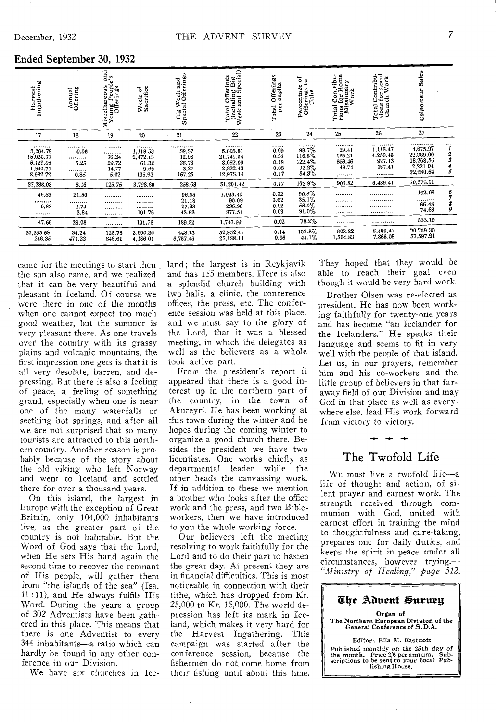#### Ended September 30, 1932

| Ingathering<br>Harvest                                        | Annual<br>Offering               | and<br>e's<br>Miscellaneous<br>Young People<br>Offerings | Week of<br>Sacrifice                                | Big Week and<br>Special Offerings             | Total Offerings<br>(including Big<br>Week and Special)         | tal Offerings<br>per capita<br>Total     | $\frac{5}{2}$<br>Percentage<br>Offerings to<br>Tithe | otal Contribu-<br>ons for Home<br>Missionary<br>Work<br>Total<br>tions | Total Contribu-<br>tions for Local<br>Church Work | Sales<br>ä<br>Colport                                           |                                                |
|---------------------------------------------------------------|----------------------------------|----------------------------------------------------------|-----------------------------------------------------|-----------------------------------------------|----------------------------------------------------------------|------------------------------------------|------------------------------------------------------|------------------------------------------------------------------------|---------------------------------------------------|-----------------------------------------------------------------|------------------------------------------------|
| 17                                                            | 18                               | 19                                                       | 20                                                  | 21                                            | 22                                                             | 23                                       | 24                                                   | 25                                                                     | 26                                                | 27                                                              |                                                |
| <br>3,204.78<br>15,030.77<br>6,129.05<br>1,940.71<br>8,982.72 | <br>0.06<br><br>5.25<br><br>0.85 | <br>.<br>76.24<br>29.72<br>14.77<br>5.02                 | <br>1,119.53<br>2,472.13<br>61.32<br>9.69<br>135.93 | <br>38.37<br>12.98<br>36.76<br>3.27<br>167.25 | <br>5,605.81<br>21,741.04<br>8,052.00<br>2,832.43<br>12,973.14 | <br>0.09<br>0.35<br>0.18<br>0.03<br>0.17 | 99.7%<br>116.8%<br>$^{122.4\%}_{93.2\%}$<br>84.3%    | <br>29.41<br>165.21<br>659.46<br>49.74<br>                             | <br>1,115.47<br>4.259.40<br>927.13<br>187.41<br>  | <br>4,675.97<br>22,989.90<br>18,208.56<br>2,221.04<br>22,280.64 | $\cdots$<br>$\boldsymbol{\eta}$<br>2<br>3<br>5 |
| 35,288.03                                                     | 6.16                             | 125.75                                                   | 3,798.60                                            | 258.63                                        | 51,204.42                                                      | 0.17                                     | 103.9%                                               | 903.82                                                                 | 6,489.41                                          | 70,376.11                                                       |                                                |
| 46.83<br><br>0.83<br>                                         | 21.50<br><br>2.74<br>3.84        | .<br>.<br><br>.                                          | <br><br><br>101.76                                  | 96.88<br>21.18<br>27.83<br>43.63              | 1.043.40<br>90.09<br>236,96<br>377.54                          | 0.02<br>0.02<br>0.02<br>0.03             | 90.8%<br>35.1%<br>56.0%<br>91.0%                     | <br><br><br>                                                           | .<br>. <i>. .</i><br>. <b>.</b><br>               | 192.08<br>66.48<br>74.63                                        | 6<br>9                                         |
| 47.66                                                         | 28.08                            |                                                          | 101.76                                              | 189.52                                        | 1,747.99                                                       | 0.02                                     | 78.2%                                                |                                                                        |                                                   | 333.19                                                          |                                                |
| 35,335,69<br>246.35                                           | 34.24<br>471.22                  | 125.75<br>846.61                                         | 3,900.36<br>4,186.01                                | 448.15<br>5,767.45                            | 52,952.41<br>25,138.11                                         | 0.14<br>0.06                             | 102.8%<br>44.1%                                      | 903.82<br>1,564.83                                                     | 6,489.41<br>7,866.08                              | 70,709.30<br>57,597.91                                          |                                                |

the sun also came, and we realized that it can be very beautiful and<br>pleasant in Iceland. Of course we were there in one of the months when one cannot expect too much good weather, but the summer is very pleasant there. As one travels over the country with its grassy plains and volcanic mountains, the first impression one gets is that it is all very desolate, barren, and depressing. But there is also a feeling of peace, a feeling of something grand, especially when one is near one of the many waterfalls or seething hot springs, and after all we are not surprised that so many tourists are attracted to this northern country. Another reason is probably because of the story about the old viking who left Norway and went to Iceland and settled there for over a thousand years.

On this island, the largest in Europe with the exception of Great Britain, only 104,000 inhabitants live, as the greater part of the country is not habitable. But the Word of God says that the Lord. when He sets His hand again the second time to recover the remnant of His people, will gather them from "the islands of the sea" (Isa.  $11:11$ ), and He always fulfils  $His$ Word. During the years a group of 302 Adventists have been gathered in this place. This means that there is one Adventist to every 344 inhabitants—a ratio which can hardly be found in any other conference in our Division.

We have six churches in Ice-

came for the meetings to start then land; the largest is in Reykjavik and has 155 members. Here is also a splendid church building with two halls, a clinic, the conference offices, the press, etc. The conference session was held at this place, and we must say to the glory of the Lord, that it was a blessed meeting, in which the delegates as well as the believers as a whole took active part.

From the president's report it appeared that there is a good interest up in the northern part of the country, in the town of Akurevri. He has been working at this town during the winter and he hopes during the coming winter to organize a good church there. Besides the president we have two licentiates. One works chiefly as departmental leader while the other heads the canvassing work. If in addition to these we mention a brother who looks after the office work and the press, and two Bibleworkers, then we have introduced to you the whole working force.

Our believers left the meeting resolving to work faithfully for the Lord and to do their part to hasten the great day. At present they are in financial difficulties. This is most noticeable in connection with their tithe, which has dropped from Kr. 25,000 to Kr. 15,000. The world depression has left its mark in Iceland, which makes it very hard for the Harvest Ingathering. This campaign was started after the conference session, because the fishermen do not come home from their fishing until about this time.

They hoped that they would be able to reach their goal even though it would be very hard work.

Brother Olsen was re-elected as president. He has now been working faithfully for twenty-one years and has become "an Icelander for the Icelanders." He speaks their language and seems to fit in very well with the people of that island. Let us, in our prayers, remember him and his co-workers and the little group of believers in that faraway field of our Division and may God in that place as well as everywhere else, lead His work forward from victory to victory.

#### The Twofold Life

WE must live a twofold life-a life of thought and action, of silent prayer and earnest work. The strength received through communion with God, united with earnest effort in training the mind to thoughtfulness and care-taking, prepares one for daily duties, and keeps the spirit in peace under all circumstances, however trying. "Ministry of Healing," page 512.

#### The Aduent Survey

Organ of The Northern European Division of the<br>General Conference of S.D.A.

Editor: Ella M. Eastcott Published monthly on the 25th day of Francisco month. Price 2% per annum. Sub-<br>terriptions to be sent to your local Pub-<br>lishing House.